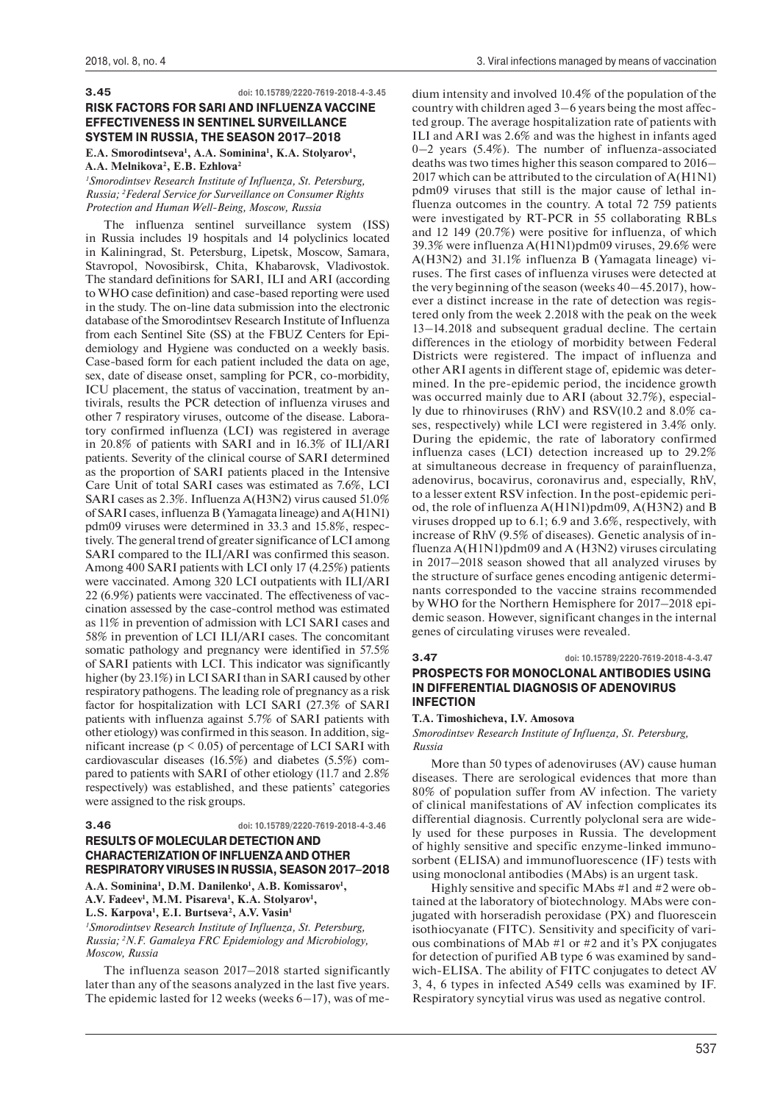**3.45 doi: 10.15789/2220-7619-2018-4-3.45**

### **RISK FACTORS FOR SARI AND INFLUENZA VACCINE EFFECTIVENESS IN SENTINEL SURVEILLANCE SYSTEM IN RUSSIA, THE SEASON 2017–2018**

E.A. Smorodintseva<sup>1</sup>, A.A. Sominina<sup>1</sup>, K.A. Stolyarov<sup>1</sup>, **A.A. Melnikova2 , E.B. Ezhlova2**

*1 Smorodintsev Research Institute of Influenza, St. Petersburg, Russia; 2 Federal Service for Surveillance on Consumer Rights Protection and Human Well-Being, Moscow, Russia*

The influenza sentinel surveillance system (ISS) in Russia includes 19 hospitals and 14 polyclinics located in Kaliningrad, St. Petersburg, Lipetsk, Moscow, Samara, Stavropol, Novosibirsk, Chita, Khabarovsk, Vladivostok. The standard definitions for SARI, ILI and ARI (according to WHO case definition) and case-based reporting were used in the study. The on-line data submission into the electronic database of the Smorodintsev Research Institute of Influenza from each Sentinel Site (SS) at the FBUZ Centers for Epidemiology and Hygiene was conducted on a weekly basis. Case-based form for each patient included the data on age, sex, date of disease onset, sampling for PCR, co-morbidity, ICU placement, the status of vaccination, treatment by antivirals, results the PCR detection of influenza viruses and other 7 respiratory viruses, outcome of the disease. Laboratory confirmed influenza (LCI) was registered in average in 20.8% of patients with SARI and in 16.3% of ILI/ARI patients. Severity of the clinical course of SARI determined as the proportion of SARI patients placed in the Intensive Care Unit of total SARI cases was estimated as 7.6%, LCI SARI cases as 2.3%. Influenza A(H3N2) virus caused 51.0% of SARI cases, influenza B (Yamagata lineage) and A(H1N1) pdm09 viruses were determined in 33.3 and 15.8%, respectively. The general trend of greater significance of LCI among SARI compared to the ILI/ARI was confirmed this season. Among 400 SARI patients with LCI only 17 (4.25%) patients were vaccinated. Among 320 LCI outpatients with ILI/ARI 22 (6.9%) patients were vaccinated. The effectiveness of vaccination assessed by the case-control method was estimated as 11% in prevention of admission with LCI SARI cases and 58% in prevention of LCI ILI/ARI cases. The concomitant somatic pathology and pregnancy were identified in 57.5% of SARI patients with LCI. This indicator was significantly higher (by 23.1%) in LCI SARI than in SARI caused by other respiratory pathogens. The leading role of pregnancy as a risk factor for hospitalization with LCI SARI (27.3% of SARI patients with influenza against 5.7% of SARI patients with other etiology) was confirmed in this season. In addition, significant increase ( $p \le 0.05$ ) of percentage of LCI SARI with cardiovascular diseases (16.5%) and diabetes (5.5%) compared to patients with SARI of other etiology (11.7 and 2.8% respectively) was established, and these patients' categories were assigned to the risk groups.

# **3.46 doi: 10.15789/2220-7619-2018-4-3.46**

# **RESULTS OF MOLECULAR DETECTION AND CHARACTERIZATION OF INFLUENZA AND OTHER RESPIRATORY VIRUSES IN RUSSIA, SEASON 2017–2018**

A.A. Sominina<sup>1</sup>, D.M. Danilenko<sup>1</sup>, A.B. Komissarov<sup>1</sup>, A.V. Fadeev<sup>1</sup>, M.M. Pisareva<sup>1</sup>, K.A. Stolyarov<sup>1</sup>,

L.S. Karpova<sup>1</sup>, E.I. Burtseva<sup>2</sup>, A.V. Vasin<sup>1</sup>

*1 Smorodintsev Research Institute of Influenza, St. Petersburg, Russia; 2 N.F. Gamaleya FRC Epidemiology and Microbiology, Moscow, Russia*

The influenza season 2017–2018 started significantly later than any of the seasons analyzed in the last five years. The epidemic lasted for 12 weeks (weeks 6–17), was of medium intensity and involved 10.4% of the population of the country with children aged 3–6 years being the most affected group. The average hospitalization rate of patients with ILI and ARI was 2.6% and was the highest in infants aged 0–2 years (5.4%). The number of influenza-associated deaths was two times higher this season compared to 2016– 2017 which can be attributed to the circulation of A(H1N1) pdm09 viruses that still is the major cause of lethal influenza outcomes in the country. A total 72 759 patients were investigated by RT-PCR in 55 collaborating RBLs and 12 149 (20.7%) were positive for influenza, of which 39.3% were influenza A(H1N1)pdm09 viruses, 29.6% were A(H3N2) and 31.1% influenza B (Yamagata lineage) viruses. The first cases of influenza viruses were detected at the very beginning of the season (weeks 40–45.2017), however a distinct increase in the rate of detection was registered only from the week 2.2018 with the peak on the week 13–14.2018 and subsequent gradual decline. The certain differences in the etiology of morbidity between Federal Districts were registered. The impact of influenza and other ARI agents in different stage of, epidemic was determined. In the pre-epidemic period, the incidence growth was occurred mainly due to ARI (about 32.7%), especially due to rhinoviruses (RhV) and RSV(10.2 and 8.0% cases, respectively) while LCI were registered in 3.4% only. During the epidemic, the rate of laboratory confirmed influenza cases (LCI) detection increased up to 29.2% at simultaneous decrease in frequency of parainfluenza, adenovirus, bocavirus, coronavirus and, especially, RhV, to a lesser extent RSV infection. In the post-epidemic period, the role of influenza A(H1N1)pdm09, A(H3N2) and В viruses dropped up to 6.1; 6.9 and 3.6%, respectively, with increase of RhV (9.5% of diseases). Genetic analysis of influenza A(H1N1)pdm09 and A (H3N2) viruses circulating in 2017–2018 season showed that all analyzed viruses by the structure of surface genes encoding antigenic determinants corresponded to the vaccine strains recommended by WHO for the Northern Hemisphere for 2017–2018 epidemic season. However, significant changes in the internal genes of circulating viruses were revealed.

### **3.47 doi: 10.15789/2220-7619-2018-4-3.47 PROSPECTS FOR MONOCLONAL ANTIBODIES USING IN DIFFERENTIAL DIAGNOSIS OF ADENOVIRUS INFECTION**

**T.A. Timoshicheva, I.V. Amosova**

*Smorodintsev Research Institute of Influenza, St. Petersburg, Russia*

More than 50 types of adenoviruses (AV) cause human diseases. There are serological evidences that more than 80% of population suffer from AV infection. The variety of clinical manifestations of AV infection complicates its differential diagnosis. Currently polyclonal sera are widely used for these purposes in Russia. The development of highly sensitive and specific enzyme-linked immunosorbent (ELISA) and immunofluorescence (IF) tests with using monoclonal antibodies (MAbs) is an urgent task.

Highly sensitive and specific MAbs #1 and #2 were obtained at the laboratory of biotechnology. MAbs were conjugated with horseradish peroxidase (PX) and fluorescein isothiocyanate (FITC). Sensitivity and specificity of various combinations of MAb #1 or #2 and it's PX conjugates for detection of purified AB type 6 was examined by sandwich-ELISA. The ability of FITC conjugates to detect AV 3, 4, 6 types in infected A549 cells was examined by IF. Respiratory syncytial virus was used as negative control.